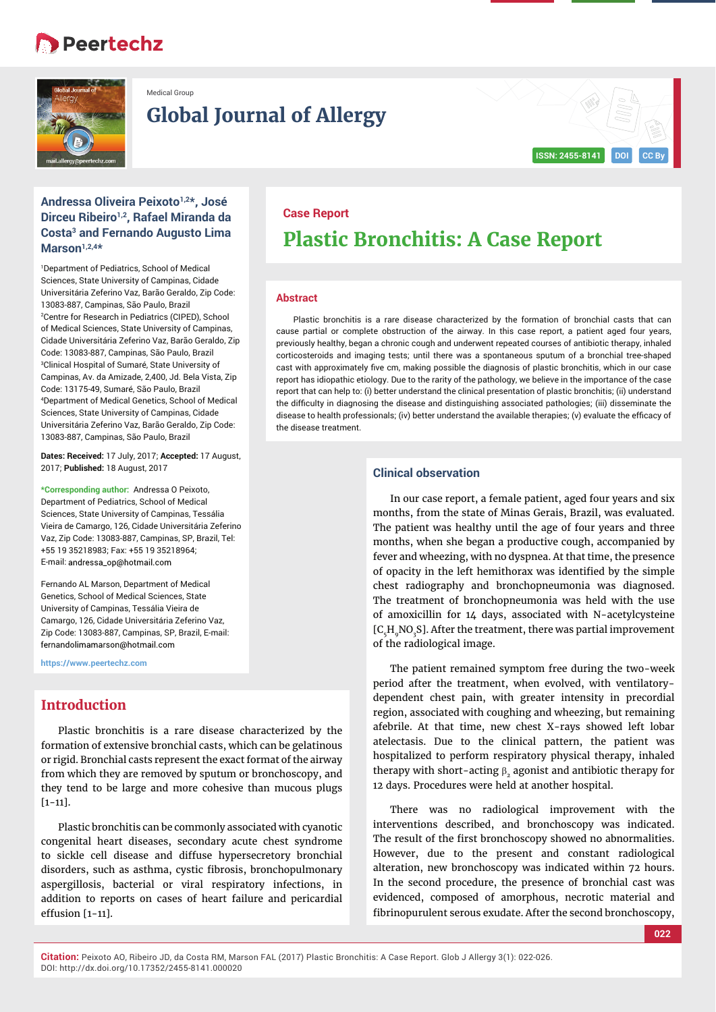# **Peertechz**



Medical Group

# **Global Journal of Allergy**

# **ISSN: 2455-8141 DOI CC By**

## **Andressa Oliveira Peixoto1,2\*, José Dirceu Ribeiro1,2, Rafael Miranda da Costa3 and Fernando Augusto Lima Marson1,2,4\***

1 Department of Pediatrics, School of Medical Sciences, State University of Campinas, Cidade Universitária Zeferino Vaz, Barão Geraldo, Zip Code: 13083-887, Campinas, São Paulo, Brazil 2 Centre for Research in Pediatrics (CIPED), School of Medical Sciences, State University of Campinas, Cidade Universitária Zeferino Vaz, Barão Geraldo, Zip Code: 13083-887, Campinas, São Paulo, Brazil 3 Clinical Hospital of Sumaré, State University of Campinas, Av. da Amizade, 2,400, Jd. Bela Vista, Zip Code: 13175-49, Sumaré, São Paulo, Brazil 4 Department of Medical Genetics, School of Medical Sciences, State University of Campinas, Cidade Universitária Zeferino Vaz, Barão Geraldo, Zip Code: 13083-887, Campinas, São Paulo, Brazil

**Dates: Received:** 17 July, 2017; **Accepted:** 17 August, 2017; **Published:** 18 August, 2017

**\*Corresponding author:** Andressa O Peixoto, Department of Pediatrics, School of Medical Sciences, State University of Campinas, Tessália Vieira de Camargo, 126, Cidade Universitária Zeferino Vaz, Zip Code: 13083-887, Campinas, SP, Brazil, Tel: +55 19 35218983; Fax: +55 19 35218964; E-mail: andressa\_op@hotmail.com

Fernando AL Marson, Department of Medical Genetics, School of Medical Sciences, State University of Campinas, Tessália Vieira de Camargo, 126, Cidade Universitária Zeferino Vaz, Zip Code: 13083-887, Campinas, SP, Brazil, E-mail: fernandolimamarson@hotmail.com

**https://www.peertechz.com**

## **Introduction**

Plastic bronchitis is a rare disease characterized by the formation of extensive bronchial casts, which can be gelatinous or rigid. Bronchial casts represent the exact format of the airway from which they are removed by sputum or bronchoscopy, and they tend to be large and more cohesive than mucous plugs  $[1-11]$ .

Plastic bronchitis can be commonly associated with cyanotic congenital heart diseases, secondary acute chest syndrome to sickle cell disease and diffuse hypersecretory bronchial disorders, such as asthma, cystic fibrosis, bronchopulmonary aspergillosis, bacterial or viral respiratory infections, in addition to reports on cases of heart failure and pericardial effusion [1-11].

# **Case Report Plastic Bronchitis: A Case Report**

#### **Abstract**

Plastic bronchitis is a rare disease characterized by the formation of bronchial casts that can cause partial or complete obstruction of the airway. In this case report, a patient aged four years, previously healthy, began a chronic cough and underwent repeated courses of antibiotic therapy, inhaled corticosteroids and imaging tests; until there was a spontaneous sputum of a bronchial tree-shaped cast with approximately five cm, making possible the diagnosis of plastic bronchitis, which in our case report has idiopathic etiology. Due to the rarity of the pathology, we believe in the importance of the case report that can help to: (i) better understand the clinical presentation of plastic bronchitis; (ii) understand the difficulty in diagnosing the disease and distinguishing associated pathologies; (iii) disseminate the disease to health professionals; (iv) better understand the available therapies; (v) evaluate the efficacy of the disease treatment.

## **Clinical observation**

In our case report, a female patient, aged four years and six months, from the state of Minas Gerais, Brazil, was evaluated. The patient was healthy until the age of four years and three months, when she began a productive cough, accompanied by fever and wheezing, with no dyspnea. At that time, the presence of opacity in the left hemithorax was identified by the simple chest radiography and bronchopneumonia was diagnosed. The treatment of bronchopneumonia was held with the use of amoxicillin for 14 days, associated with N-acetylcysteine  $[C_{5}H_{9}NO_{3}S]$ . After the treatment, there was partial improvement of the radiological image.

The patient remained symptom free during the two-week period after the treatment, when evolved, with ventilatorydependent chest pain, with greater intensity in precordial region, associated with coughing and wheezing, but remaining afebrile. At that time, new chest X-rays showed left lobar atelectasis. Due to the clinical pattern, the patient was hospitalized to perform respiratory physical therapy, inhaled therapy with short-acting  $\beta$ , agonist and antibiotic therapy for 12 days. Procedures were held at another hospital.

There was no radiological improvement with the interventions described, and bronchoscopy was indicated. The result of the first bronchoscopy showed no abnormalities. However, due to the present and constant radiological alteration, new bronchoscopy was indicated within 72 hours. In the second procedure, the presence of bronchial cast was evidenced, composed of amorphous, necrotic material and fibrinopurulent serous exudate. After the second bronchoscopy,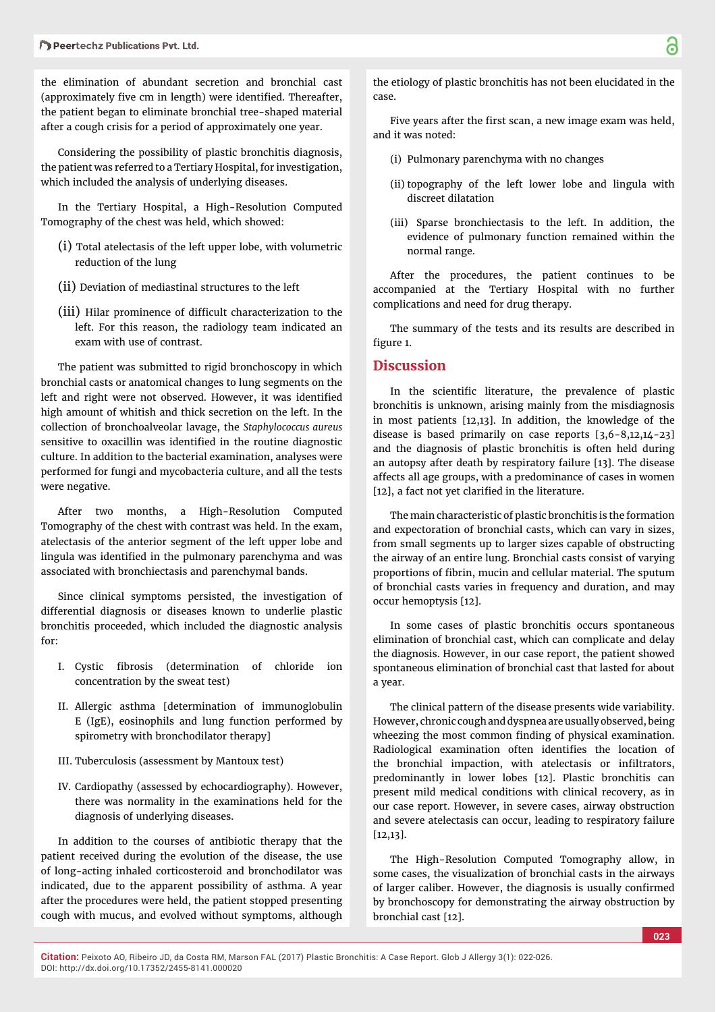the elimination of abundant secretion and bronchial cast (approximately five cm in length) were identified. Thereafter, the patient began to eliminate bronchial tree-shaped material after a cough crisis for a period of approximately one year.

Considering the possibility of plastic bronchitis diagnosis, the patient was referred to a Tertiary Hospital, for investigation, which included the analysis of underlying diseases.

In the Tertiary Hospital, a High-Resolution Computed Tomography of the chest was held, which showed:

- (i) Total atelectasis of the left upper lobe, with volumetric reduction of the lung
- (ii) Deviation of mediastinal structures to the left
- (iii) Hilar prominence of difficult characterization to the left. For this reason, the radiology team indicated an exam with use of contrast.

The patient was submitted to rigid bronchoscopy in which bronchial casts or anatomical changes to lung segments on the left and right were not observed. However, it was identified high amount of whitish and thick secretion on the left. In the collection of bronchoalveolar lavage, the *Staphylococcus aureus* sensitive to oxacillin was identified in the routine diagnostic culture. In addition to the bacterial examination, analyses were performed for fungi and mycobacteria culture, and all the tests were negative.

After two months, a High-Resolution Computed Tomography of the chest with contrast was held. In the exam, atelectasis of the anterior segment of the left upper lobe and lingula was identified in the pulmonary parenchyma and was associated with bronchiectasis and parenchymal bands.

Since clinical symptoms persisted, the investigation of differential diagnosis or diseases known to underlie plastic bronchitis proceeded, which included the diagnostic analysis for:

- I. Cystic fibrosis (determination of chloride ion concentration by the sweat test)
- II. Allergic asthma [determination of immunoglobulin E (IgE), eosinophils and lung function performed by spirometry with bronchodilator therapy]
- III. Tuberculosis (assessment by Mantoux test)
- IV. Cardiopathy (assessed by echocardiography). However, there was normality in the examinations held for the diagnosis of underlying diseases.

In addition to the courses of antibiotic therapy that the patient received during the evolution of the disease, the use of long-acting inhaled corticosteroid and bronchodilator was indicated, due to the apparent possibility of asthma. A year after the procedures were held, the patient stopped presenting cough with mucus, and evolved without symptoms, although

the etiology of plastic bronchitis has not been elucidated in the case.

Five years after the first scan, a new image exam was held, and it was noted:

- (i) Pulmonary parenchyma with no changes
- (ii) topography of the left lower lobe and lingula with discreet dilatation
- (iii) Sparse bronchiectasis to the left. In addition, the evidence of pulmonary function remained within the normal range.

After the procedures, the patient continues to be accompanied at the Tertiary Hospital with no further complications and need for drug therapy.

The summary of the tests and its results are described in figure 1.

### **Discussion**

In the scientific literature, the prevalence of plastic bronchitis is unknown, arising mainly from the misdiagnosis in most patients [12,13]. In addition, the knowledge of the disease is based primarily on case reports [3,6-8,12,14-23] and the diagnosis of plastic bronchitis is often held during an autopsy after death by respiratory failure [13]. The disease affects all age groups, with a predominance of cases in women [12], a fact not yet clarified in the literature.

The main characteristic of plastic bronchitis is the formation and expectoration of bronchial casts, which can vary in sizes, from small segments up to larger sizes capable of obstructing the airway of an entire lung. Bronchial casts consist of varying proportions of fibrin, mucin and cellular material. The sputum of bronchial casts varies in frequency and duration, and may occur hemoptysis [12].

In some cases of plastic bronchitis occurs spontaneous elimination of bronchial cast, which can complicate and delay the diagnosis. However, in our case report, the patient showed spontaneous elimination of bronchial cast that lasted for about a year.

The clinical pattern of the disease presents wide variability. However, chronic cough and dyspnea are usually observed, being wheezing the most common finding of physical examination. Radiological examination often identifies the location of the bronchial impaction, with atelectasis or infiltrators, predominantly in lower lobes [12]. Plastic bronchitis can present mild medical conditions with clinical recovery, as in our case report. However, in severe cases, airway obstruction and severe atelectasis can occur, leading to respiratory failure [12,13].

The High-Resolution Computed Tomography allow, in some cases, the visualization of bronchial casts in the airways of larger caliber. However, the diagnosis is usually confirmed by bronchoscopy for demonstrating the airway obstruction by bronchial cast [12].

**023**

**Citation:** Peixoto AO, Ribeiro JD, da Costa RM, Marson FAL (2017) Plastic Bronchitis: A Case Report. Glob J Allergy 3(1): 022-026. DOI: http://dx.doi.org/10.17352/2455-8141.000020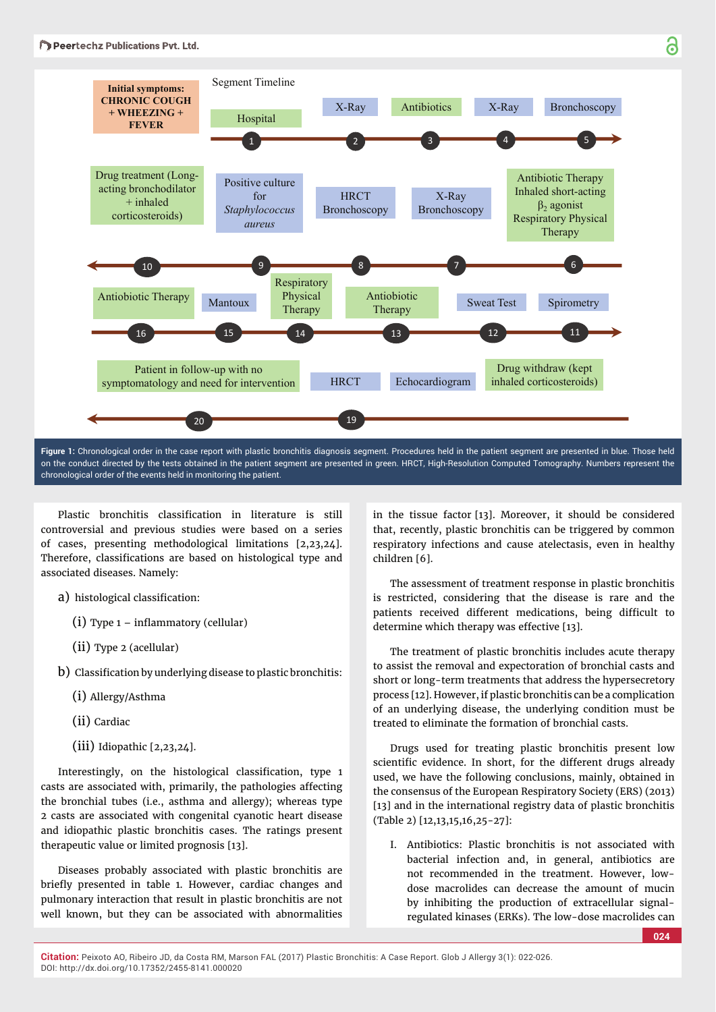

**Figure 1:** Chronological order in the case report with plastic bronchitis diagnosis segment. Procedures held in the patient segment are presented in blue. Those held on the conduct directed by the tests obtained in the patient segment are presented in green. HRCT, High-Resolution Computed Tomography. Numbers represent the chronological order of the events held in monitoring the patient.

Plastic bronchitis classification in literature is still controversial and previous studies were based on a series of cases, presenting methodological limitations [2,23,24]. Therefore, classifications are based on histological type and associated diseases. Namely:

- a) histological classification:
	- $(i)$  Type 1 inflammatory (cellular)
	- (ii) Type 2 (acellular)
- b) Classification by underlying disease to plastic bronchitis:
	- (i) Allergy/Asthma
	- (ii) Cardiac
	- $(iii)$  Idiopathic  $[2,23,24]$ .

Interestingly, on the histological classification, type 1 casts are associated with, primarily, the pathologies affecting the bronchial tubes (i.e., asthma and allergy); whereas type 2 casts are associated with congenital cyanotic heart disease and idiopathic plastic bronchitis cases. The ratings present therapeutic value or limited prognosis [13].

Diseases probably associated with plastic bronchitis are briefly presented in table 1. However, cardiac changes and pulmonary interaction that result in plastic bronchitis are not well known, but they can be associated with abnormalities

in the tissue factor [13]. Moreover, it should be considered that, recently, plastic bronchitis can be triggered by common respiratory infections and cause atelectasis, even in healthy children [6].

The assessment of treatment response in plastic bronchitis is restricted, considering that the disease is rare and the patients received different medications, being difficult to determine which therapy was effective [13].

The treatment of plastic bronchitis includes acute therapy to assist the removal and expectoration of bronchial casts and short or long-term treatments that address the hypersecretory process [12]. However, if plastic bronchitis can be a complication of an underlying disease, the underlying condition must be treated to eliminate the formation of bronchial casts.

Drugs used for treating plastic bronchitis present low scientific evidence. In short, for the different drugs already used, we have the following conclusions, mainly, obtained in the consensus of the European Respiratory Society (ERS) (2013) [13] and in the international registry data of plastic bronchitis (Table 2) [12,13,15,16,25-27]:

I. Antibiotics: Plastic bronchitis is not associated with bacterial infection and, in general, antibiotics are not recommended in the treatment. However, lowdose macrolides can decrease the amount of mucin by inhibiting the production of extracellular signalregulated kinases (ERKs). The low-dose macrolides can

**Citation:** Peixoto AO, Ribeiro JD, da Costa RM, Marson FAL (2017) Plastic Bronchitis: A Case Report. Glob J Allergy 3(1): 022-026. DOI: http://dx.doi.org/10.17352/2455-8141.000020

# Ъ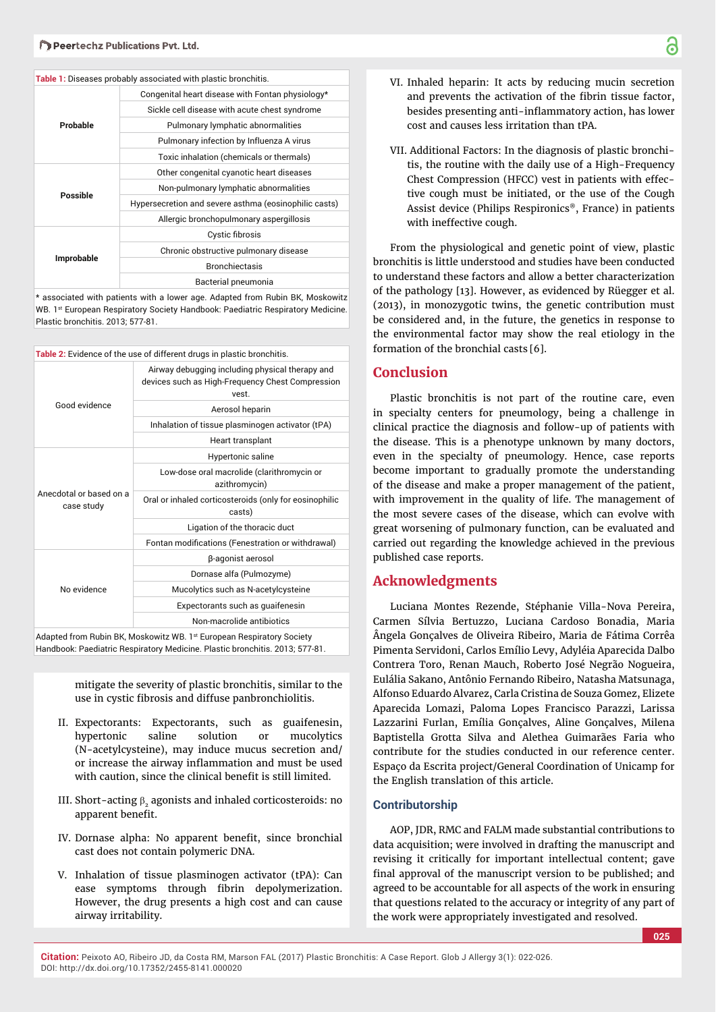#### **Table 1:** Diseases probably associated with plastic bronchitis.

| Probable          | Congenital heart disease with Fontan physiology*      |
|-------------------|-------------------------------------------------------|
|                   | Sickle cell disease with acute chest syndrome         |
|                   | Pulmonary lymphatic abnormalities                     |
|                   | Pulmonary infection by Influenza A virus              |
|                   | Toxic inhalation (chemicals or thermals)              |
| Possible          | Other congenital cyanotic heart diseases              |
|                   | Non-pulmonary lymphatic abnormalities                 |
|                   | Hypersecretion and severe asthma (eosinophilic casts) |
|                   | Allergic bronchopulmonary aspergillosis               |
| <b>Improbable</b> | Cystic fibrosis                                       |
|                   | Chronic obstructive pulmonary disease                 |
|                   | <b>Bronchiectasis</b>                                 |
|                   | Bacterial pneumonia                                   |

\* associated with patients with a lower age. Adapted from Rubin BK, Moskowitz WB. 1<sup>st</sup> European Respiratory Society Handbook: Paediatric Respiratory Medicine. Plastic bronchitis. 2013; 577-81.

| Table 2: Evidence of the use of different drugs in plastic bronchitis. |                                                                                                              |  |
|------------------------------------------------------------------------|--------------------------------------------------------------------------------------------------------------|--|
| Good evidence                                                          | Airway debugging including physical therapy and<br>devices such as High-Frequency Chest Compression<br>vest. |  |
|                                                                        | Aerosol heparin                                                                                              |  |
|                                                                        | Inhalation of tissue plasminogen activator (tPA)                                                             |  |
|                                                                        | Heart transplant                                                                                             |  |
| Anecdotal or based on a<br>case study                                  | Hypertonic saline                                                                                            |  |
|                                                                        | Low-dose oral macrolide (clarithromycin or<br>azithromycin)                                                  |  |
|                                                                        | Oral or inhaled corticosteroids (only for eosinophilic<br>casts)                                             |  |
|                                                                        | Ligation of the thoracic duct                                                                                |  |
|                                                                        | Fontan modifications (Fenestration or withdrawal)                                                            |  |
|                                                                        | β-agonist aerosol                                                                                            |  |
|                                                                        | Dornase alfa (Pulmozyme)                                                                                     |  |
| No evidence                                                            | Mucolytics such as N-acetylcysteine                                                                          |  |
|                                                                        | Expectorants such as quaifenesin                                                                             |  |
|                                                                        | Non-macrolide antibiotics                                                                                    |  |
| Adented from Dubin DK Meekewitz WD, 1st European Deepiraters Capiety   |                                                                                                              |  |

Adapted from Rubin BK, Moskowitz WB. 1st European Respiratory Society Handbook: Paediatric Respiratory Medicine. Plastic bronchitis. 2013; 577-81.

> mitigate the severity of plastic bronchitis, similar to the use in cystic fibrosis and diffuse panbronchiolitis.

- II. Expectorants: Expectorants, such as guaifenesin, hypertonic saline solution or mucolytics (N-acetylcysteine), may induce mucus secretion and/ or increase the airway inflammation and must be used with caution, since the clinical benefit is still limited.
- III. Short-acting  $\beta$ , agonists and inhaled corticosteroids: no apparent benefit.
- IV. Dornase alpha: No apparent benefit, since bronchial cast does not contain polymeric DNA.
- V. Inhalation of tissue plasminogen activator (tPA): Can ease symptoms through fibrin depolymerization. However, the drug presents a high cost and can cause airway irritability.
- VI. Inhaled heparin: It acts by reducing mucin secretion and prevents the activation of the fibrin tissue factor, besides presenting anti-inflammatory action, has lower cost and causes less irritation than tPA.
- VII. Additional Factors: In the diagnosis of plastic bronchitis, the routine with the daily use of a High-Frequency Chest Compression (HFCC) vest in patients with effective cough must be initiated, or the use of the Cough Assist device (Philips Respironics®, France) in patients with ineffective cough.

From the physiological and genetic point of view, plastic bronchitis is little understood and studies have been conducted to understand these factors and allow a better characterization of the pathology [13]. However, as evidenced by Rüegger et al. (2013), in monozygotic twins, the genetic contribution must be considered and, in the future, the genetics in response to the environmental factor may show the real etiology in the formation of the bronchial casts [6].

#### **Conclusion**

Plastic bronchitis is not part of the routine care, even in specialty centers for pneumology, being a challenge in clinical practice the diagnosis and follow-up of patients with the disease. This is a phenotype unknown by many doctors, even in the specialty of pneumology. Hence, case reports become important to gradually promote the understanding of the disease and make a proper management of the patient, with improvement in the quality of life. The management of the most severe cases of the disease, which can evolve with great worsening of pulmonary function, can be evaluated and carried out regarding the knowledge achieved in the previous published case reports.

## **Acknowledgments**

Luciana Montes Rezende, Stéphanie Villa-Nova Pereira, Carmen Sílvia Bertuzzo, Luciana Cardoso Bonadia, Maria Ângela Gonçalves de Oliveira Ribeiro, Maria de Fátima Corrêa Pimenta Servidoni, Carlos Emílio Levy, Adyléia Aparecida Dalbo Contrera Toro, Renan Mauch, Roberto José Negrão Nogueira, Eulália Sakano, Antônio Fernando Ribeiro, Natasha Matsunaga, Alfonso Eduardo Alvarez, Carla Cristina de Souza Gomez, Elizete Aparecida Lomazi, Paloma Lopes Francisco Parazzi, Larissa Lazzarini Furlan, Emília Gonçalves, Aline Gonçalves, Milena Baptistella Grotta Silva and Alethea Guimarães Faria who contribute for the studies conducted in our reference center. Espaço da Escrita project/General Coordination of Unicamp for the English translation of this article.

#### **Contributorship**

AOP, JDR, RMC and FALM made substantial contributions to data acquisition; were involved in drafting the manuscript and revising it critically for important intellectual content; gave final approval of the manuscript version to be published; and agreed to be accountable for all aspects of the work in ensuring that questions related to the accuracy or integrity of any part of the work were appropriately investigated and resolved.